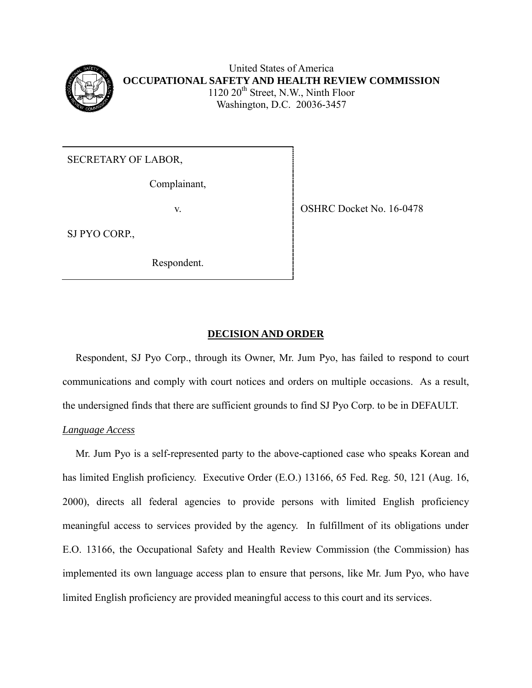

United States of America **OCCUPATIONAL SAFETY AND HEALTH REVIEW COMMISSION** 1120 20<sup>th</sup> Street, N.W., Ninth Floor Washington, D.C. 20036-3457

SECRETARY OF LABOR,

Complainant,

SJ PYO CORP.,

Respondent.

v. SHRC Docket No. 16-0478

## **DECISION AND ORDER**

 Respondent, SJ Pyo Corp., through its Owner, Mr. Jum Pyo, has failed to respond to court communications and comply with court notices and orders on multiple occasions. As a result, the undersigned finds that there are sufficient grounds to find SJ Pyo Corp. to be in DEFAULT.

# *Language Access*

 Mr. Jum Pyo is a self-represented party to the above-captioned case who speaks Korean and has limited English proficiency. Executive Order (E.O.) 13166, 65 Fed. Reg. 50, 121 (Aug. 16, 2000), directs all federal agencies to provide persons with limited English proficiency meaningful access to services provided by the agency. In fulfillment of its obligations under E.O. 13166, the Occupational Safety and Health Review Commission (the Commission) has implemented its own language access plan to ensure that persons, like Mr. Jum Pyo, who have limited English proficiency are provided meaningful access to this court and its services.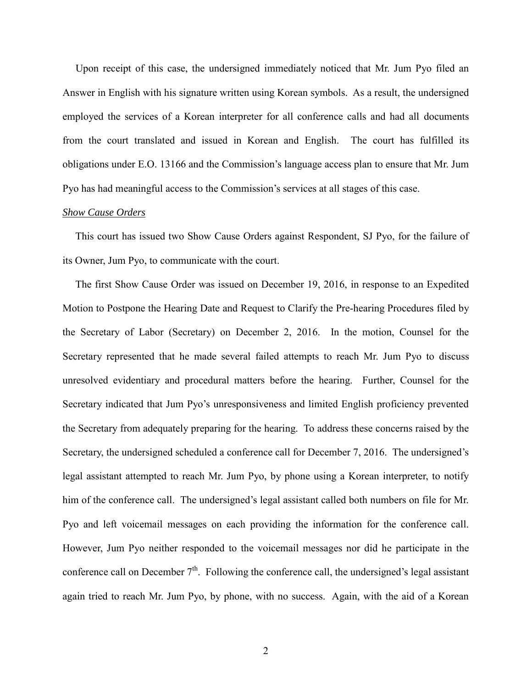Upon receipt of this case, the undersigned immediately noticed that Mr. Jum Pyo filed an Answer in English with his signature written using Korean symbols. As a result, the undersigned employed the services of a Korean interpreter for all conference calls and had all documents from the court translated and issued in Korean and English. The court has fulfilled its obligations under E.O. 13166 and the Commission's language access plan to ensure that Mr. Jum Pyo has had meaningful access to the Commission's services at all stages of this case.

## *Show Cause Orders*

 This court has issued two Show Cause Orders against Respondent, SJ Pyo, for the failure of its Owner, Jum Pyo, to communicate with the court.

 The first Show Cause Order was issued on December 19, 2016, in response to an Expedited Motion to Postpone the Hearing Date and Request to Clarify the Pre-hearing Procedures filed by the Secretary of Labor (Secretary) on December 2, 2016. In the motion, Counsel for the Secretary represented that he made several failed attempts to reach Mr. Jum Pyo to discuss unresolved evidentiary and procedural matters before the hearing. Further, Counsel for the Secretary indicated that Jum Pyo's unresponsiveness and limited English proficiency prevented the Secretary from adequately preparing for the hearing. To address these concerns raised by the Secretary, the undersigned scheduled a conference call for December 7, 2016. The undersigned's legal assistant attempted to reach Mr. Jum Pyo, by phone using a Korean interpreter, to notify him of the conference call. The undersigned's legal assistant called both numbers on file for Mr. Pyo and left voicemail messages on each providing the information for the conference call. However, Jum Pyo neither responded to the voicemail messages nor did he participate in the conference call on December  $7<sup>th</sup>$ . Following the conference call, the undersigned's legal assistant again tried to reach Mr. Jum Pyo, by phone, with no success. Again, with the aid of a Korean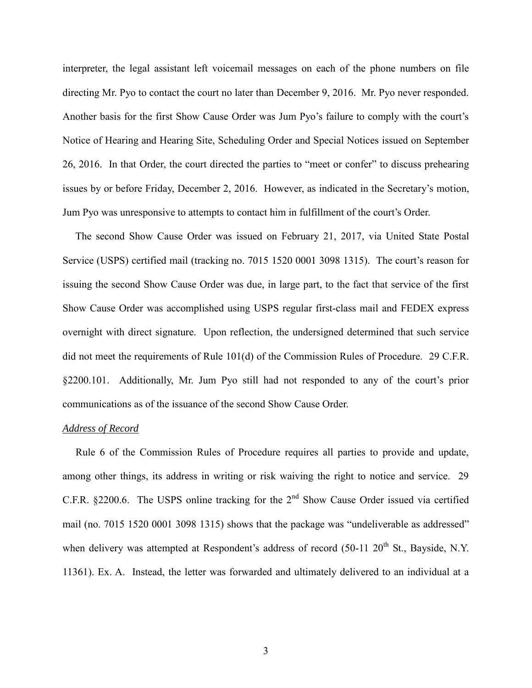interpreter, the legal assistant left voicemail messages on each of the phone numbers on file directing Mr. Pyo to contact the court no later than December 9, 2016. Mr. Pyo never responded. Another basis for the first Show Cause Order was Jum Pyo's failure to comply with the court's Notice of Hearing and Hearing Site, Scheduling Order and Special Notices issued on September 26, 2016. In that Order, the court directed the parties to "meet or confer" to discuss prehearing issues by or before Friday, December 2, 2016. However, as indicated in the Secretary's motion, Jum Pyo was unresponsive to attempts to contact him in fulfillment of the court's Order.

 The second Show Cause Order was issued on February 21, 2017, via United State Postal Service (USPS) certified mail (tracking no. 7015 1520 0001 3098 1315). The court's reason for issuing the second Show Cause Order was due, in large part, to the fact that service of the first Show Cause Order was accomplished using USPS regular first-class mail and FEDEX express overnight with direct signature. Upon reflection, the undersigned determined that such service did not meet the requirements of Rule 101(d) of the Commission Rules of Procedure. 29 C.F.R. §2200.101. Additionally, Mr. Jum Pyo still had not responded to any of the court's prior communications as of the issuance of the second Show Cause Order.

#### *Address of Record*

 Rule 6 of the Commission Rules of Procedure requires all parties to provide and update, among other things, its address in writing or risk waiving the right to notice and service. 29 C.F.R. §2200.6. The USPS online tracking for the  $2<sup>nd</sup>$  Show Cause Order issued via certified mail (no. 7015 1520 0001 3098 1315) shows that the package was "undeliverable as addressed" when delivery was attempted at Respondent's address of record  $(50-11 20<sup>th</sup>$  St., Bayside, N.Y. 11361). Ex. A. Instead, the letter was forwarded and ultimately delivered to an individual at a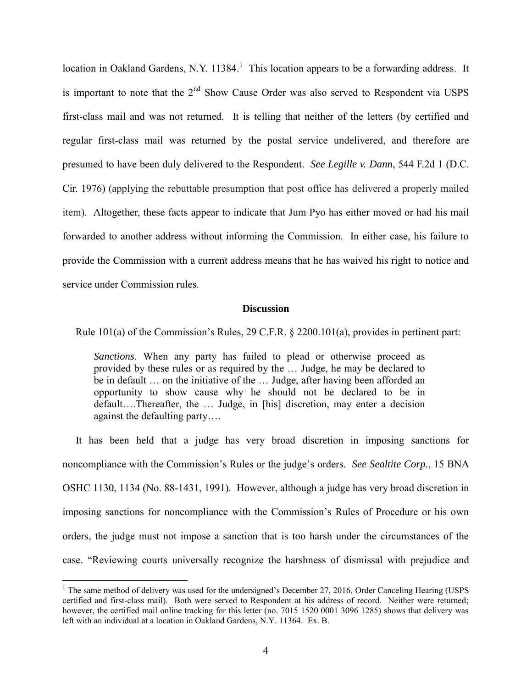location in Oakland Gardens, N.Y.  $11384$ .<sup>1</sup> This location appears to be a forwarding address. It is important to note that the  $2<sup>nd</sup>$  Show Cause Order was also served to Respondent via USPS first-class mail and was not returned. It is telling that neither of the letters (by certified and regular first-class mail was returned by the postal service undelivered, and therefore are presumed to have been duly delivered to the Respondent. *See Legille v. Dann*[, 544 F.2d 1 \(D.C.](https://1.next.westlaw.com/Link/Document/FullText?findType=Y&serNum=1976125219&pubNum=0000350&originatingDoc=I6feff8f6e2d011e4b86bd602cb8781fa&refType=RP&originationContext=document&transitionType=DocumentItem&contextData=(sc.Search))  [Cir. 1976\)](https://1.next.westlaw.com/Link/Document/FullText?findType=Y&serNum=1976125219&pubNum=0000350&originatingDoc=I6feff8f6e2d011e4b86bd602cb8781fa&refType=RP&originationContext=document&transitionType=DocumentItem&contextData=(sc.Search)) (applying the rebuttable presumption that post office has delivered a properly mailed item). Altogether, these facts appear to indicate that Jum Pyo has either moved or had his mail forwarded to another address without informing the Commission. In either case, his failure to provide the Commission with a current address means that he has waived his right to notice and service under Commission rules.

#### **Discussion**

Rule 101(a) of the Commission's Rules, 29 C.F.R. § 2200.101(a), provides in pertinent part:

*Sanctions.* When any party has failed to plead or otherwise proceed as provided by these rules or as required by the … Judge, he may be declared to be in default … on the initiative of the … Judge, after having been afforded an opportunity to show cause why he should not be declared to be in default….Thereafter, the … Judge, in [his] discretion, may enter a decision against the defaulting party….

 It has been held that a judge has very broad discretion in imposing sanctions for noncompliance with the Commission's Rules or the judge's orders. *See Sealtite Corp.*, 15 BNA OSHC 1130, 1134 (No. 88-1431, 1991). However, although a judge has very broad discretion in imposing sanctions for noncompliance with the Commission's Rules of Procedure or his own orders, the judge must not impose a sanction that is too harsh under the circumstances of the case. "Reviewing courts universally recognize the harshness of dismissal with prejudice and

 $\overline{a}$ 

<sup>&</sup>lt;sup>1</sup> The same method of delivery was used for the undersigned's December 27, 2016, Order Canceling Hearing (USPS certified and first-class mail). Both were served to Respondent at his address of record. Neither were returned; however, the certified mail online tracking for this letter (no. 7015 1520 0001 3096 1285) shows that delivery was left with an individual at a location in Oakland Gardens, N.Y. 11364. Ex. B.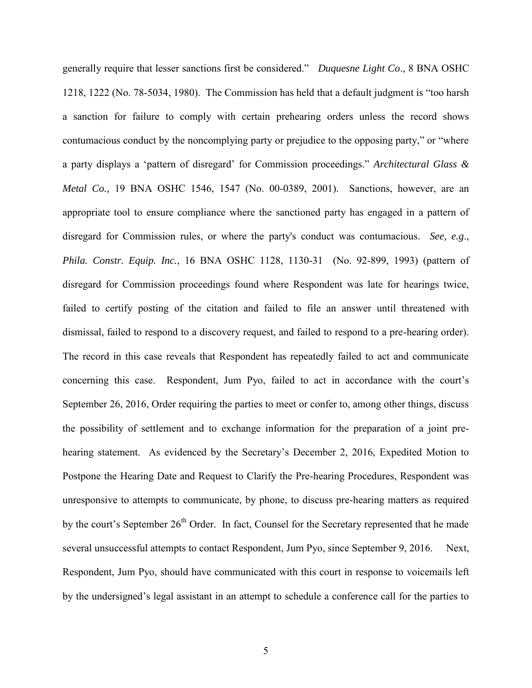generally require that lesser sanctions first be considered." *Duquesne Light Co*., 8 BNA OSHC 1218, 1222 (No. 78-5034, 1980). The Commission has held that a default judgment is "too harsh a sanction for failure to comply with certain prehearing orders unless the record shows contumacious conduct by the noncomplying party or prejudice to the opposing party," or "where a party displays a 'pattern of disregard' for Commission proceedings." *[Architectural Glass &](http://web2.westlaw.com/find/default.wl?mt=Westlaw&db=0003227&tc=-1&rp=%2ffind%2fdefault.wl&findtype=Y&ordoc=2012780902&serialnum=2002390136&vr=2.0&fn=_top&sv=Split&tf=-1&referencepositiontype=S&pbc=ED3AA980&referenceposition=1547&rs=WLW14.04)  Metal Co.,* [19 BNA OSHC 1546, 1547](http://web2.westlaw.com/find/default.wl?mt=Westlaw&db=0003227&tc=-1&rp=%2ffind%2fdefault.wl&findtype=Y&ordoc=2012780902&serialnum=2002390136&vr=2.0&fn=_top&sv=Split&tf=-1&referencepositiontype=S&pbc=ED3AA980&referenceposition=1547&rs=WLW14.04) (No. 00-0389, 2001). Sanctions, however, are an appropriate tool to ensure compliance where the sanctioned party has engaged in a pattern of disregard for Commission rules, or where the party's conduct was contumacious. *See, e.g*., *Phila. Constr. Equip. Inc.*[, 16 BNA OSHC 1128, 1130-31](http://web2.westlaw.com/find/default.wl?mt=Westlaw&db=0003227&tc=-1&rp=%2ffind%2fdefault.wl&findtype=Y&ordoc=2012780902&serialnum=1993474433&vr=2.0&fn=_top&sv=Split&tf=-1&referencepositiontype=S&pbc=ED3AA980&referenceposition=1130&rs=WLW14.04) (No. 92-899, 1993) (pattern of disregard for Commission proceedings found where Respondent was late for hearings twice, failed to certify posting of the citation and failed to file an answer until threatened with dismissal, failed to respond to a discovery request, and failed to respond to a pre-hearing order). The record in this case reveals that Respondent has repeatedly failed to act and communicate concerning this case. Respondent, Jum Pyo, failed to act in accordance with the court's September 26, 2016, Order requiring the parties to meet or confer to, among other things, discuss the possibility of settlement and to exchange information for the preparation of a joint prehearing statement. As evidenced by the Secretary's December 2, 2016, Expedited Motion to Postpone the Hearing Date and Request to Clarify the Pre-hearing Procedures, Respondent was unresponsive to attempts to communicate, by phone, to discuss pre-hearing matters as required by the court's September  $26<sup>th</sup>$  Order. In fact, Counsel for the Secretary represented that he made several unsuccessful attempts to contact Respondent, Jum Pyo, since September 9, 2016. Next, Respondent, Jum Pyo, should have communicated with this court in response to voicemails left by the undersigned's legal assistant in an attempt to schedule a conference call for the parties to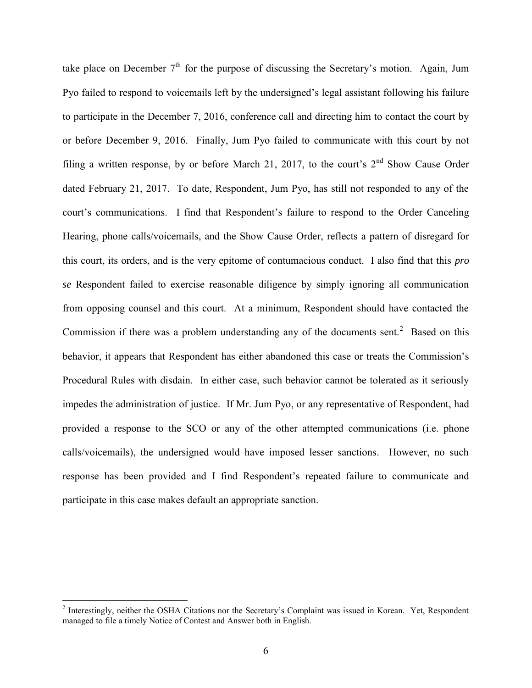take place on December  $7<sup>th</sup>$  for the purpose of discussing the Secretary's motion. Again, Jum Pyo failed to respond to voicemails left by the undersigned's legal assistant following his failure to participate in the December 7, 2016, conference call and directing him to contact the court by or before December 9, 2016. Finally, Jum Pyo failed to communicate with this court by not filing a written response, by or before March 21, 2017, to the court's  $2<sup>nd</sup>$  Show Cause Order dated February 21, 2017. To date, Respondent, Jum Pyo, has still not responded to any of the court's communications. I find that Respondent's failure to respond to the Order Canceling Hearing, phone calls/voicemails, and the Show Cause Order, reflects a pattern of disregard for this court, its orders, and is the very epitome of contumacious conduct. I also find that this *pro se* Respondent failed to exercise reasonable diligence by simply ignoring all communication from opposing counsel and this court. At a minimum, Respondent should have contacted the Commission if there was a problem understanding any of the documents sent.<sup>2</sup> Based on this behavior, it appears that Respondent has either abandoned this case or treats the Commission's Procedural Rules with disdain. In either case, such behavior cannot be tolerated as it seriously impedes the administration of justice. If Mr. Jum Pyo, or any representative of Respondent, had provided a response to the SCO or any of the other attempted communications (i.e. phone calls/voicemails), the undersigned would have imposed lesser sanctions. However, no such response has been provided and I find Respondent's repeated failure to communicate and participate in this case makes default an appropriate sanction.

<sup>&</sup>lt;sup>2</sup> Interestingly, neither the OSHA Citations nor the Secretary's Complaint was issued in Korean. Yet, Respondent managed to file a timely Notice of Contest and Answer both in English.